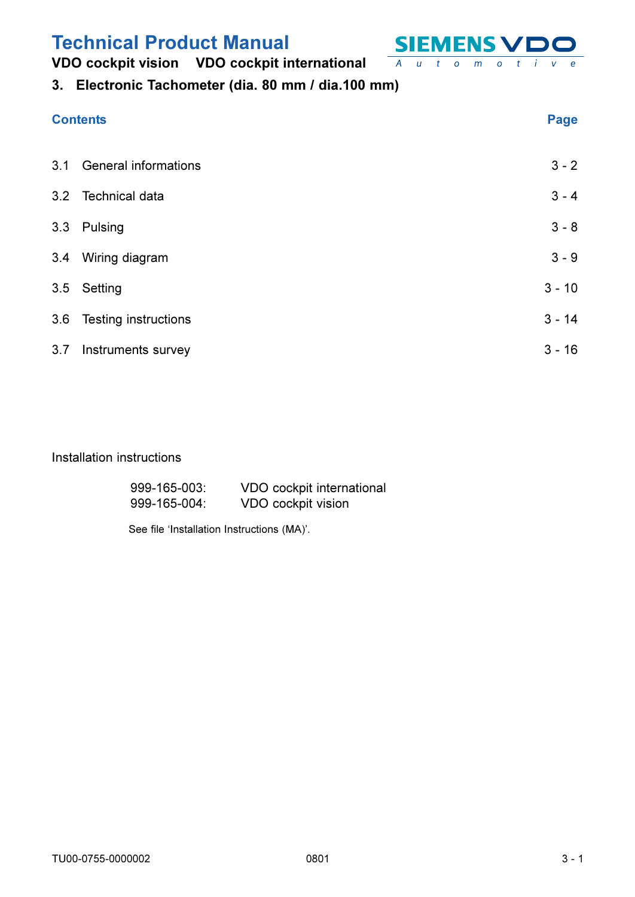## VDO cockpit vision VDO cockpit international



## 3. Electronic Tachometer (dia. 80 mm / dia.100 mm)

## **Contents**

 $\overline{e}$ 

|     | 3.1 General informations | $3 - 2$  |
|-----|--------------------------|----------|
|     | 3.2 Technical data       | $3 - 4$  |
|     | 3.3 Pulsing              | $3 - 8$  |
| 3.4 | Wiring diagram           | $3 - 9$  |
|     | 3.5 Setting              | $3 - 10$ |
|     | 3.6 Testing instructions | $3 - 14$ |
|     | 3.7 Instruments survey   | $3 - 16$ |
|     |                          |          |

### Installation instructions

| 999-165-003: | VDO cockpit international |
|--------------|---------------------------|
| 999-165-004: | VDO cockpit vision        |

See file 'Installation Instructions (MA)'.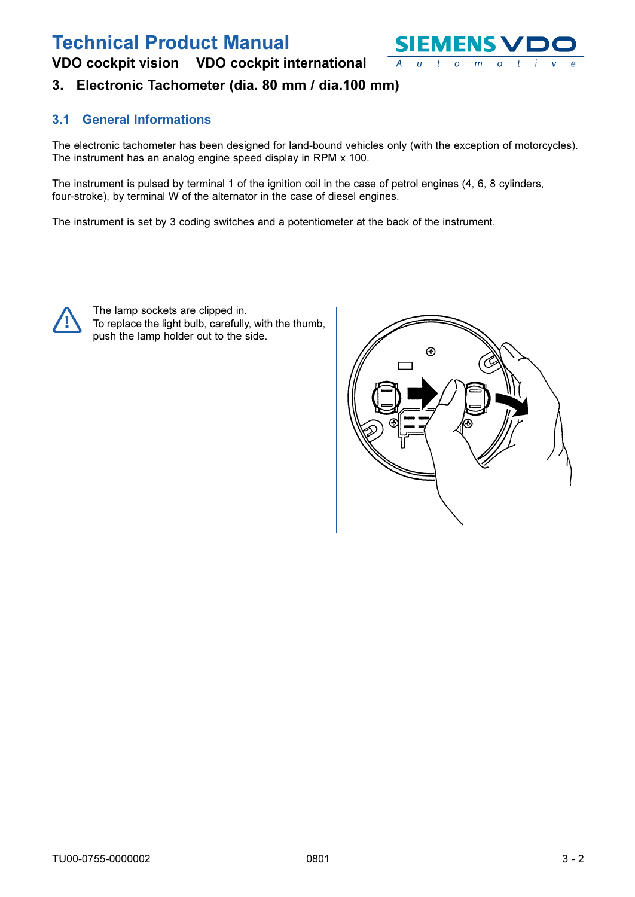<span id="page-1-0"></span>VDO cockpit vision VDO cockpit international



## 3. Electronic Tachometer (dia. 80 mm / dia.100 mm)

### **3.1 General Informations**

The electronic tachometer has been designed for land-bound vehicles only (with the exception of motorcycles). The instrument has an analog engine speed display in RPM x 100.

The instrument is pulsed by terminal 1 of the ignition coil in the case of petrol engines (4, 6, 8 cylinders, four-stroke), by terminal W of the alternator in the case of diesel engines.

The instrument is set by 3 coding switches and a potentiometer at the back of the instrument.



The lamp sockets are clipped in. To replace the light bulb, carefully, with the thumb, push the lamp holder out to the side.

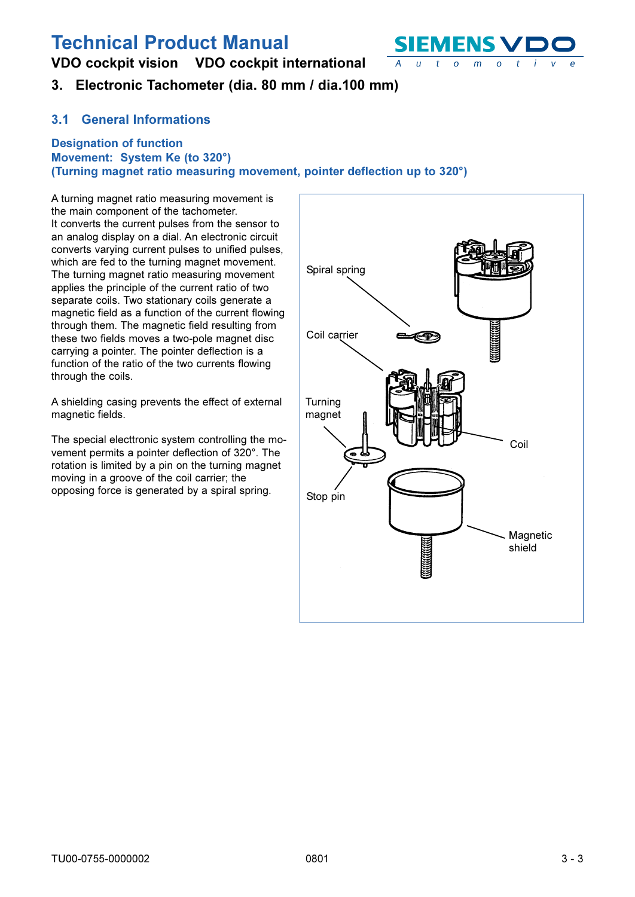VDO cockpit vision VDO cockpit international



## 3. Electronic Tachometer (dia. 80 mm / dia.100 mm)

#### **General Informations**  $3.1$

#### **Designation of function** Movement: System Ke (to 320°) (Turning magnet ratio measuring movement, pointer deflection up to 320°)

A turning magnet ratio measuring movement is the main component of the tachometer. It converts the current pulses from the sensor to an analog display on a dial. An electronic circuit converts varying current pulses to unified pulses, which are fed to the turning magnet movement. The turning magnet ratio measuring movement applies the principle of the current ratio of two separate coils. Two stationary coils generate a magnetic field as a function of the current flowing through them. The magnetic field resulting from these two fields moves a two-pole magnet disc carrying a pointer. The pointer deflection is a function of the ratio of the two currents flowing through the coils.

A shielding casing prevents the effect of external magnetic fields.

The special electtronic system controlling the movement permits a pointer deflection of 320°. The rotation is limited by a pin on the turning magnet moving in a groove of the coil carrier; the opposing force is generated by a spiral spring.

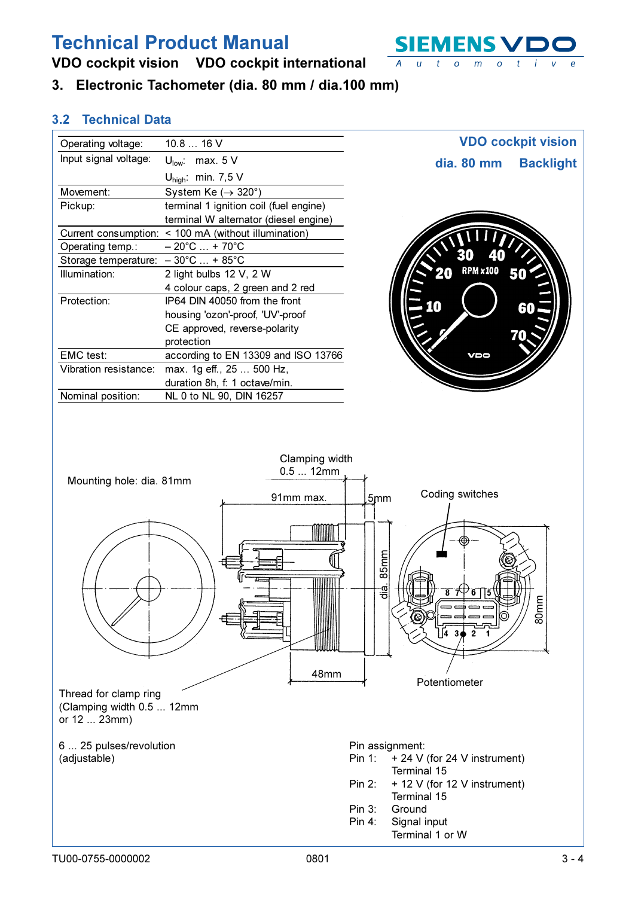<span id="page-3-0"></span>VDO cockpit vision VDO cockpit international

3. Electronic Tachometer (dia. 80 mm / dia.100 mm)

| Operating voltage:                                                 | 10.8  16 V                                            | <b>VDO cockpit vision</b>                                                                                                                                                                          |
|--------------------------------------------------------------------|-------------------------------------------------------|----------------------------------------------------------------------------------------------------------------------------------------------------------------------------------------------------|
| Input signal voltage:                                              | $U_{\text{low}}$ : max. 5 V                           | dia. 80 mm<br><b>Backlight</b>                                                                                                                                                                     |
|                                                                    | $U_{\text{high}}$ : min. 7,5 V                        |                                                                                                                                                                                                    |
| Movement:                                                          | System Ke $(\rightarrow 320^\circ)$                   |                                                                                                                                                                                                    |
| Pickup:                                                            | terminal 1 ignition coil (fuel engine)                |                                                                                                                                                                                                    |
|                                                                    | terminal W alternator (diesel engine)                 |                                                                                                                                                                                                    |
|                                                                    | Current consumption: < 100 mA (without illumination)  |                                                                                                                                                                                                    |
| Operating temp.:                                                   | $-20^{\circ}$ C  + 70 $^{\circ}$ C                    |                                                                                                                                                                                                    |
| Storage temperature: $-30^{\circ}$ C  + 85°C                       |                                                       |                                                                                                                                                                                                    |
| Illumination:                                                      | 2 light bulbs 12 V, 2 W                               | <b>RPM x100</b>                                                                                                                                                                                    |
|                                                                    | 4 colour caps, 2 green and 2 red                      |                                                                                                                                                                                                    |
| Protection:                                                        | IP64 DIN 40050 from the front                         | O                                                                                                                                                                                                  |
|                                                                    | housing 'ozon'-proof, 'UV'-proof                      | 60                                                                                                                                                                                                 |
|                                                                    | CE approved, reverse-polarity                         |                                                                                                                                                                                                    |
|                                                                    | protection                                            |                                                                                                                                                                                                    |
| EMC test:                                                          | according to EN 13309 and ISO 13766                   | VDO                                                                                                                                                                                                |
| Vibration resistance:                                              | max. 1g eff., 25  500 Hz,                             |                                                                                                                                                                                                    |
|                                                                    | duration 8h, f: 1 octave/min.                         |                                                                                                                                                                                                    |
| Nominal position:                                                  | NL 0 to NL 90, DIN 16257                              |                                                                                                                                                                                                    |
| Mounting hole: dia. 81mm                                           | Clamping width<br>0.512mm<br>91mm max.<br>WWW<br>48mm | Coding switches<br>5mm<br>85 <sub>mm</sub><br>−।<br>ਹੱ<br>$\overline{\mathbf{8}}$<br>6<br>80m<br>O<br>$4 \t3 \t2$<br>Potentiometer                                                                 |
| Thread for clamp ring<br>(Clamping width 0.5  12mm<br>or 12  23mm) |                                                       |                                                                                                                                                                                                    |
| 6  25 pulses/revolution<br>(adjustable)                            |                                                       | Pin assignment:<br>+ 24 V (for 24 V instrument)<br>Pin 1:<br>Terminal 15<br>+ 12 V (for 12 V instrument)<br>Pin 2:<br>Terminal 15<br>Ground<br>Pin 3:<br>Signal input<br>Pin 4:<br>Terminal 1 or W |

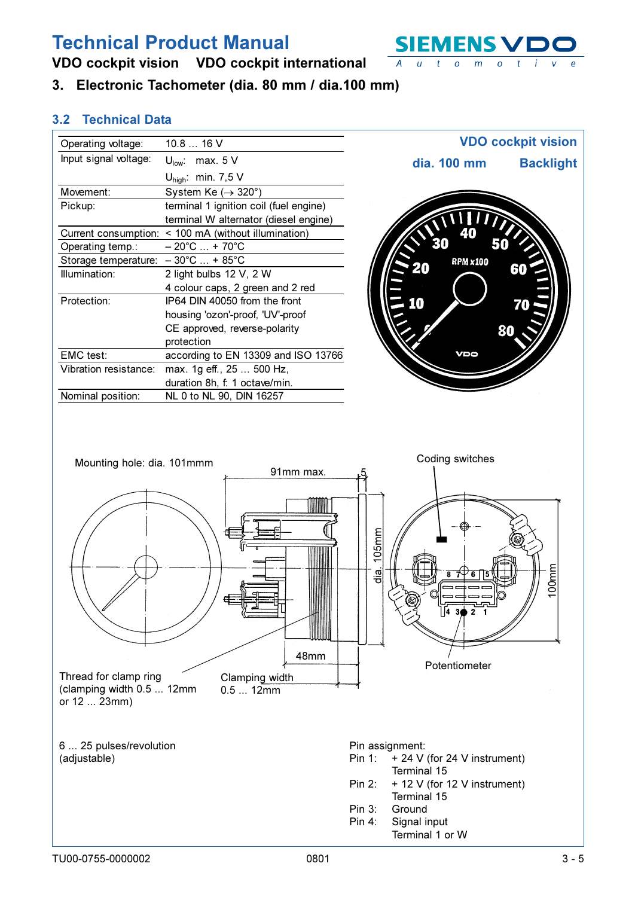VDO cockpit vision VDO cockpit international

3. Electronic Tachometer (dia. 80 mm / dia.100 mm)

| Operating voltage:                           | 10.8  16 V                                           |                 | <b>VDO cockpit vision</b> |
|----------------------------------------------|------------------------------------------------------|-----------------|---------------------------|
| Input signal voltage:                        | $U_{\text{low}}$ : max. 5 V                          | dia. 100 mm     | <b>Backlight</b>          |
|                                              | $U_{\text{high}}$ : min. 7,5 V                       |                 |                           |
| Movement:                                    | System Ke $(\rightarrow 320^\circ)$                  |                 |                           |
| Pickup:                                      | terminal 1 ignition coil (fuel engine)               |                 |                           |
|                                              | terminal W alternator (diesel engine)                |                 |                           |
|                                              | Current consumption: < 100 mA (without illumination) |                 |                           |
| Operating temp.:                             | $-20^{\circ}$ C  + 70 $^{\circ}$ C                   |                 |                           |
| Storage temperature: $-30^{\circ}$ C  + 85°C |                                                      | <b>RPM x100</b> |                           |
| Illumination:                                | 2 light bulbs 12 V, 2 W                              |                 |                           |
|                                              | 4 colour caps, 2 green and 2 red                     |                 |                           |
| Protection:                                  | IP64 DIN 40050 from the front                        |                 |                           |
|                                              | housing 'ozon'-proof, 'UV'-proof                     |                 |                           |
|                                              | CE approved, reverse-polarity                        |                 |                           |
|                                              | protection                                           |                 |                           |
| EMC test:                                    | according to EN 13309 and ISO 13766                  | VDO             |                           |
| Vibration resistance:                        | max. 1g eff., 25  500 Hz,                            |                 |                           |
|                                              | duration 8h, f: 1 octave/min.                        |                 |                           |
| Nominal position:                            | NL 0 to NL 90, DIN 16257                             |                 |                           |



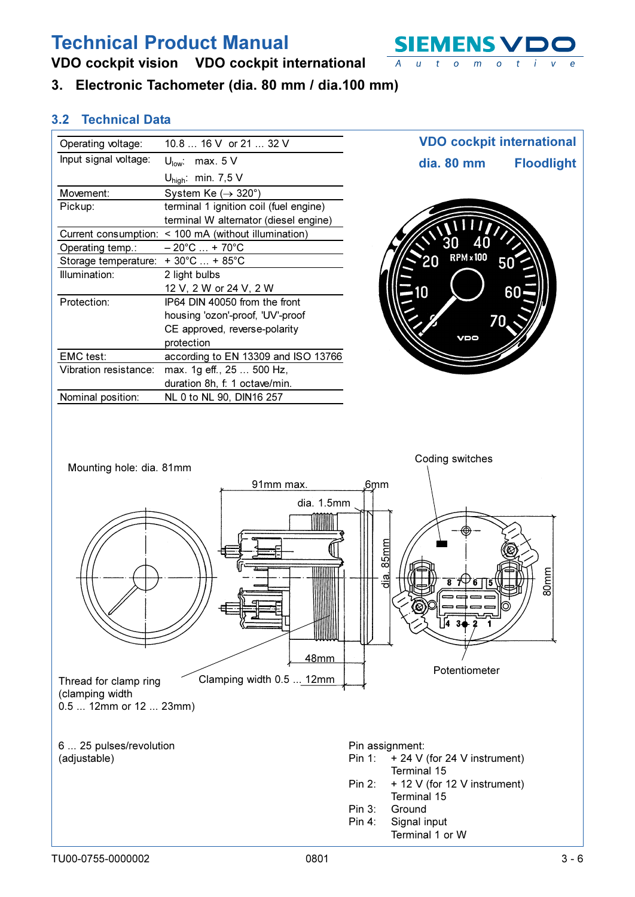**SIEMENS V**  $\overline{A}$  $u$  t  $\circ$  $m$  $\circ$ 

## VDO cockpit vision VDO cockpit international

3. Electronic Tachometer (dia. 80 mm / dia.100 mm)

| Operating voltage:       | 10.8  16 V or 21  32 V                               | <b>VDO cockpit international</b> |                   |
|--------------------------|------------------------------------------------------|----------------------------------|-------------------|
| Input signal voltage:    | $U_{\text{low}}$ : max. $5 \text{ V}$                | dia. 80 mm                       | <b>Floodlight</b> |
|                          | $U_{\text{high}}$ : min. 7,5 V                       |                                  |                   |
| Movement:                | System Ke $(\rightarrow 320^\circ)$                  |                                  |                   |
| Pickup:                  | terminal 1 ignition coil (fuel engine)               |                                  |                   |
|                          | terminal W alternator (diesel engine)                |                                  |                   |
|                          | Current consumption: < 100 mA (without illumination) |                                  |                   |
| Operating temp.:         | $-20^{\circ}$ C  + 70 $^{\circ}$ C                   |                                  |                   |
| Storage temperature:     | $+30^{\circ}$ C  + 85 $^{\circ}$ C                   | <b>RPM</b> × 100                 |                   |
| Illumination:            | 2 light bulbs                                        |                                  |                   |
|                          | 12 V, 2 W or 24 V, 2 W                               | 10                               | 60                |
| Protection:              | IP64 DIN 40050 from the front                        |                                  |                   |
|                          | housing 'ozon'-proof, 'UV'-proof                     | 70                               |                   |
|                          | CE approved, reverse-polarity                        |                                  |                   |
|                          | protection                                           | VDO                              |                   |
| EMC test:                | according to EN 13309 and ISO 13766                  |                                  |                   |
| Vibration resistance:    | max. 1g eff., 25  500 Hz,                            |                                  |                   |
|                          | duration 8h, f: 1 octave/min.                        |                                  |                   |
| Nominal position:        | NL 0 to NL 90, DIN16 257                             |                                  |                   |
|                          |                                                      |                                  |                   |
|                          |                                                      | Coding switches                  |                   |
| Mounting hole: dia. 81mm |                                                      |                                  |                   |

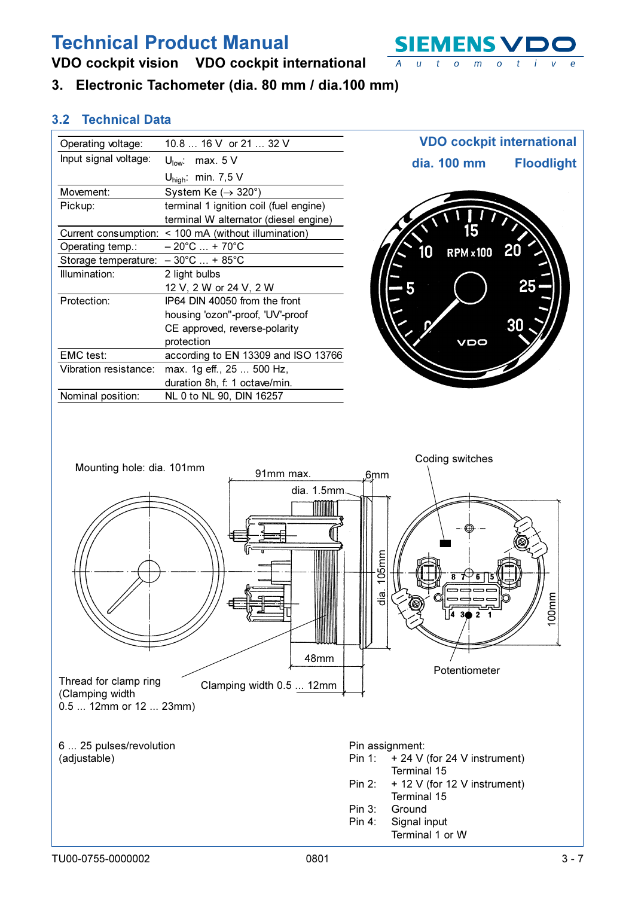VDO cockpit vision VDO cockpit international

3. Electronic Tachometer (dia. 80 mm / dia.100 mm)

| Input signal voltage:<br>$U_{\text{low}}$ : max. 5 V         | dia. 100 mm      | <b>Floodlight</b> |
|--------------------------------------------------------------|------------------|-------------------|
| $U_{\text{high}}$ : min. 7,5 V                               |                  |                   |
| Movement:<br>System Ke $(\rightarrow 320^\circ)$             |                  |                   |
| Pickup:<br>terminal 1 ignition coil (fuel engine)            |                  |                   |
| terminal W alternator (diesel engine)                        |                  |                   |
| < 100 mA (without illumination)<br>Current consumption:      |                  |                   |
| $-20^{\circ}$ C  + 70 $^{\circ}$ C<br>Operating temp.:<br>10 | <b>RPM × 100</b> |                   |
| Storage temperature: - 30°C  + 85°C                          |                  |                   |
| Illumination:<br>2 light bulbs                               |                  |                   |
| 12 V, 2 W or 24 V, 2 W                                       |                  | 25                |
| Protection:<br>IP64 DIN 40050 from the front                 |                  |                   |
| housing 'ozon"-proof, 'UV'-proof                             |                  |                   |
| CE approved, reverse-polarity                                |                  | 30                |
| protection                                                   | VDO              |                   |
| EMC test:<br>according to EN 13309 and ISO 13766             |                  |                   |
| Vibration resistance:<br>max. 1g eff., 25  500 Hz,           |                  |                   |
| duration 8h, f: 1 octave/min.                                |                  |                   |
| Nominal position:<br>NL 0 to NL 90, DIN 16257                |                  |                   |
|                                                              |                  |                   |
|                                                              |                  |                   |



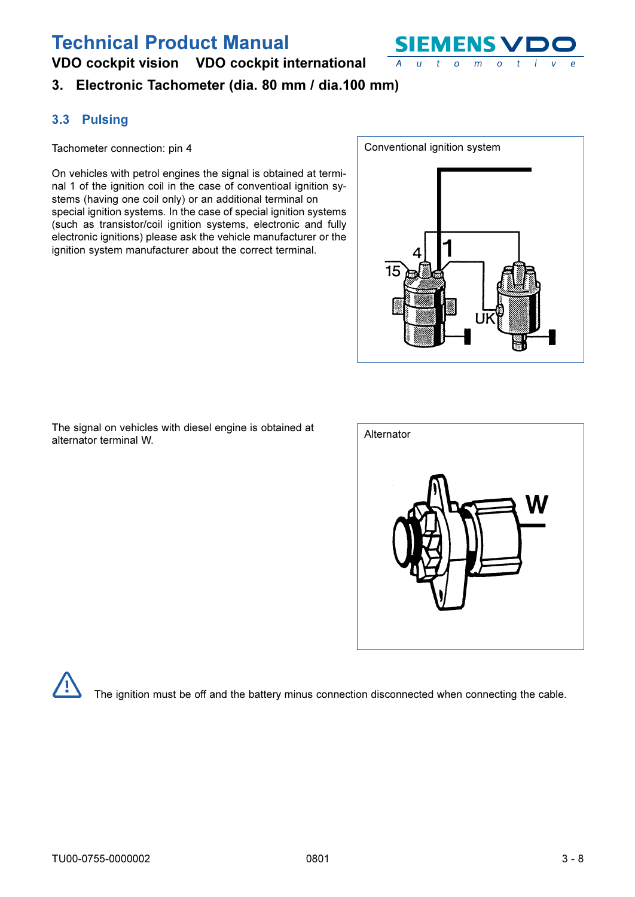

## <span id="page-7-0"></span>VDO cockpit vision VDO cockpit international

## 3. Electronic Tachometer (dia. 80 mm / dia.100 mm)

### 3.3 Pulsing

Tachometer connection: pin 4

On vehicles with petrol engines the signal is obtained at terminal 1 of the ignition coil in the case of conventioal ignition systems (having one coil only) or an additional terminal on special ignition systems. In the case of special ignition systems (such as transistor/coil ignition systems, electronic and fully electronic ignitions) please ask the vehicle manufacturer or the ignition system manufacturer about the correct terminal.





| Alternator |  |
|------------|--|
| ľ          |  |



The ignition must be off and the battery minus connection disconnected when connecting the cable.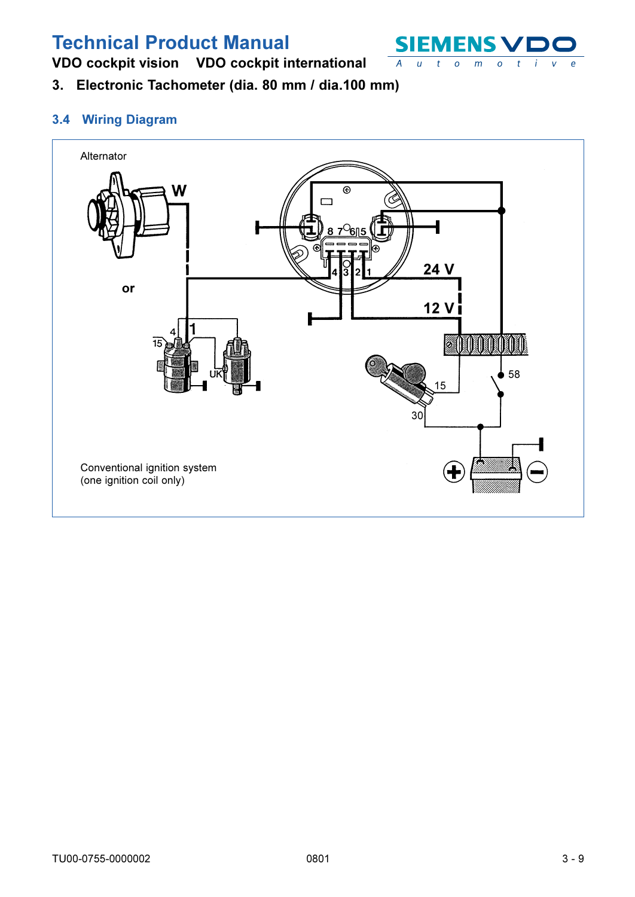

<span id="page-8-0"></span>VDO cockpit vision VDO cockpit international

3. Electronic Tachometer (dia. 80 mm / dia.100 mm)

### 3.4 Wiring Diagram

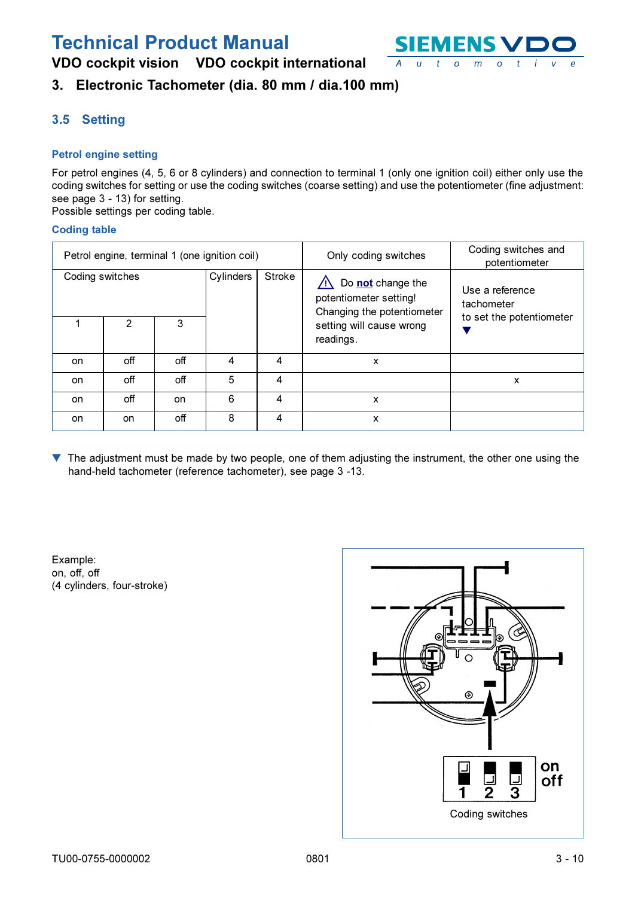

## <span id="page-9-0"></span>VDO cockpit vision VDO cockpit international

## 3. Electronic Tachometer (dia. 80 mm / dia.100 mm)

## 3.5 Setting

### **Petrol engine setting**

For petrol engines (4, 5, 6 or 8 cylinders) and connection to terminal 1 (only one ignition coil) either only use the coding switches for setting or use the coding switches (coarse setting) and use the potentiometer (fine adjustment: see page 3 - 13) for setting.

Possible settings per coding table.

#### **Coding table**

|                 |     |     | Petrol engine, terminal 1 (one ignition coil) |        | Only coding switches                                                      | Coding switches and<br>potentiometer |
|-----------------|-----|-----|-----------------------------------------------|--------|---------------------------------------------------------------------------|--------------------------------------|
| Coding switches |     |     | Cylinders                                     | Stroke | Do not change the<br>potentiometer setting!<br>Changing the potentiometer | Use a reference<br>tachometer        |
|                 | 2   | 3   |                                               |        | setting will cause wrong<br>readings.                                     | to set the potentiometer             |
| on              | off | off | 4                                             | 4      | x                                                                         |                                      |
| on              | off | off | 5                                             | 4      |                                                                           | x                                    |
| on              | off | on  | 6                                             | 4      | X                                                                         |                                      |
| on              | on  | off | 8                                             | 4      | x                                                                         |                                      |

The adjustment must be made by two people, one of them adjusting the instrument, the other one using the  $\blacktriangledown$ hand-held tachometer (reference tachometer), see page 3 -13.

Example: on, off, off (4 cylinders, four-stroke)

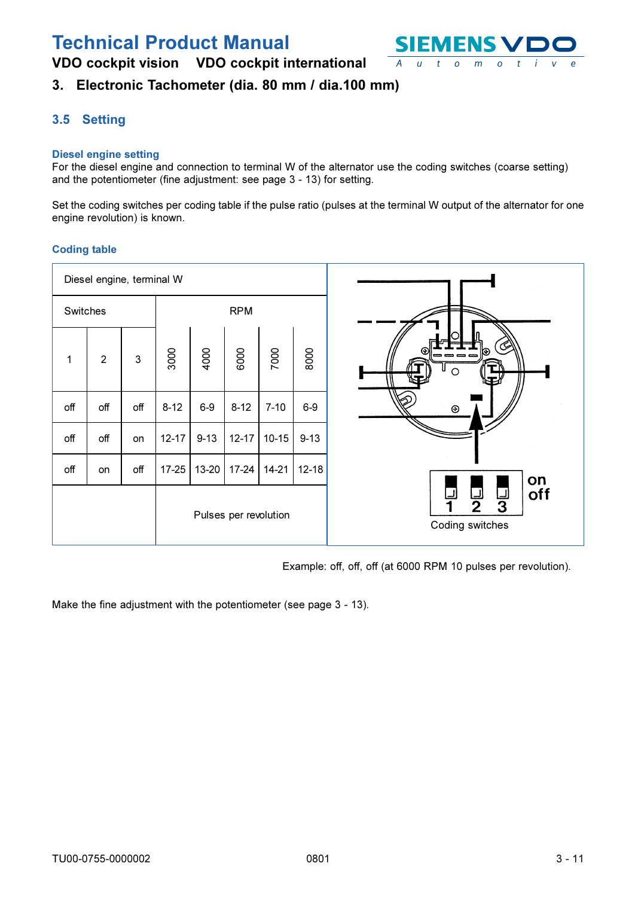VDO cockpit vision VDO cockpit international



## 3. Electronic Tachometer (dia. 80 mm / dia.100 mm)

### 3.5 Setting

#### **Diesel engine setting**

For the diesel engine and connection to terminal W of the alternator use the coding switches (coarse setting) and the potentiometer (fine adjustment: see page 3 - 13) for setting.

Set the coding switches per coding table if the pulse ratio (pulses at the terminal W output of the alternator for one engine revolution) is known.

#### **Coding table**

|          | Diesel engine, terminal W |              |            |          |                       |          |           |                                                   |
|----------|---------------------------|--------------|------------|----------|-----------------------|----------|-----------|---------------------------------------------------|
| Switches |                           |              | <b>RPM</b> |          |                       |          |           |                                                   |
| 1        | $\overline{2}$            | $\mathbf{3}$ | 3000       | 4000     | 6000                  | 7000     | 8000      | 65<br>O<br>----<br>O                              |
| off      | off                       | off          | $8 - 12$   | $6-9$    | $8 - 12$              | $7 - 10$ | $6-9$     | $\circledcirc$                                    |
| off      | off                       | on           | $12 - 17$  | $9 - 13$ | $12 - 17$             | $10-15$  | $9 - 13$  |                                                   |
| off      | on                        | $_{\rm off}$ | $17 - 25$  | 13-20    | $17 - 24$             | $14-21$  | $12 - 18$ | on                                                |
|          |                           |              |            |          | Pulses per revolution |          |           | off<br>لــا<br>3<br><u>لىا</u><br>Coding switches |

Example: off, off, off (at 6000 RPM 10 pulses per revolution).

Make the fine adjustment with the potentiometer (see page 3 - 13).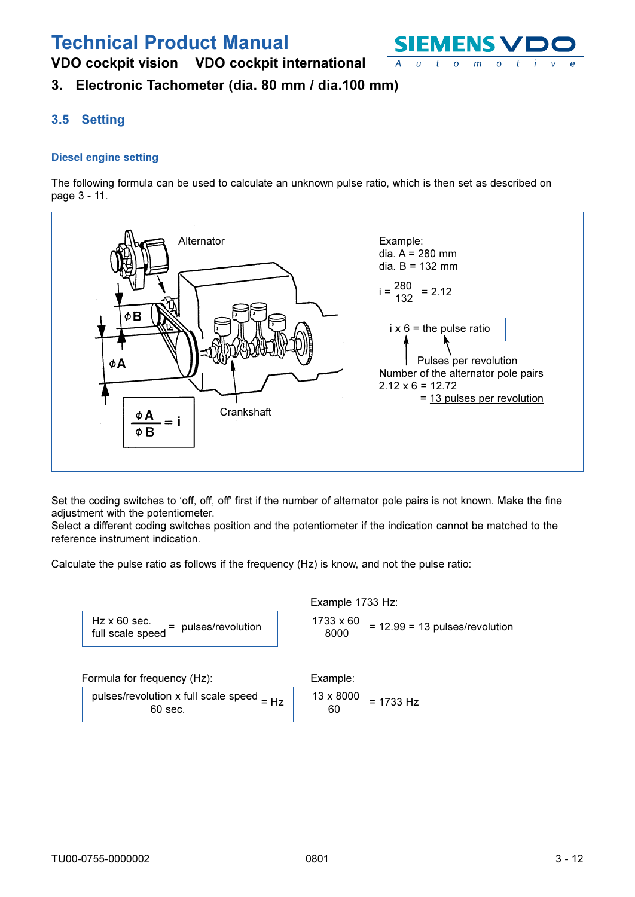VDO cockpit vision VDO cockpit international



## 3. Electronic Tachometer (dia. 80 mm / dia.100 mm)

### 3.5 Setting

#### **Diesel engine setting**

The following formula can be used to calculate an unknown pulse ratio, which is then set as described on page 3 - 11.



Set the coding switches to 'off, off, off' first if the number of alternator pole pairs is not known. Make the fine adjustment with the potentiometer.

Select a different coding switches position and the potentiometer if the indication cannot be matched to the reference instrument indication.

Calculate the pulse ratio as follows if the frequency (Hz) is know, and not the pulse ratio:

| $Hz \times 60$ sec.<br>full scale speed | = pulses/revolution |
|-----------------------------------------|---------------------|
|-----------------------------------------|---------------------|

#### Example 1733 Hz:

Fxample:

1733 x 60  $= 12.99 = 13$  pulses/revolution 8000

Formula for frequency (Hz):

<u>pulses/revolution x full scale speed</u>  $=$  Hz  $60$  sec.

$$
\frac{13 \times 8000}{60} = 1733 \text{ Hz}
$$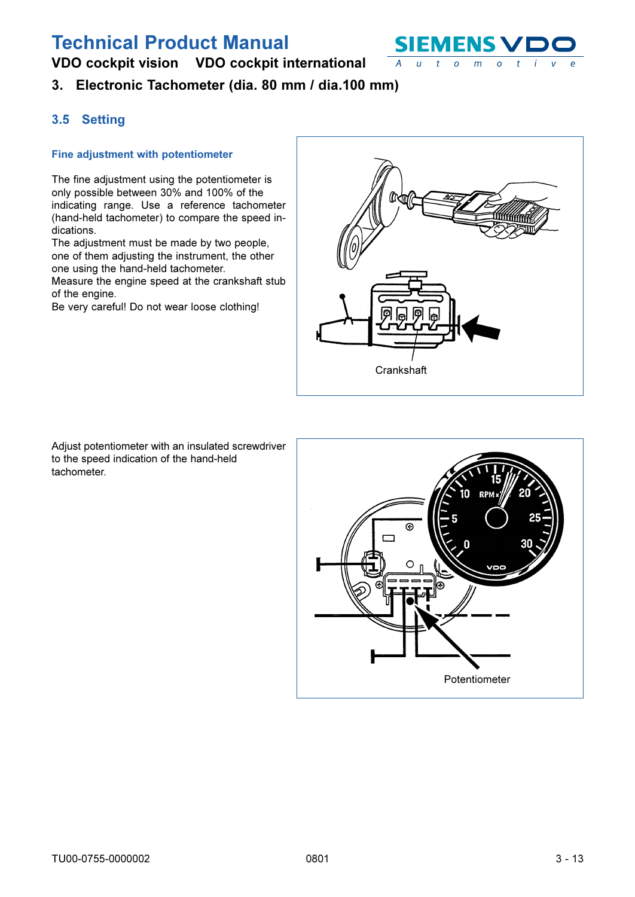

## VDO cockpit vision VDO cockpit international

3. Electronic Tachometer (dia. 80 mm / dia.100 mm)

### 3.5 Setting

#### Fine adjustment with potentiometer

The fine adjustment using the potentiometer is only possible between 30% and 100% of the indicating range. Use a reference tachometer (hand-held tachometer) to compare the speed indications.

The adjustment must be made by two people, one of them adjusting the instrument, the other one using the hand-held tachometer.

Measure the engine speed at the crankshaft stub of the engine.

Be very careful! Do not wear loose clothing!



Adjust potentiometer with an insulated screwdriver to the speed indication of the hand-held tachometer.

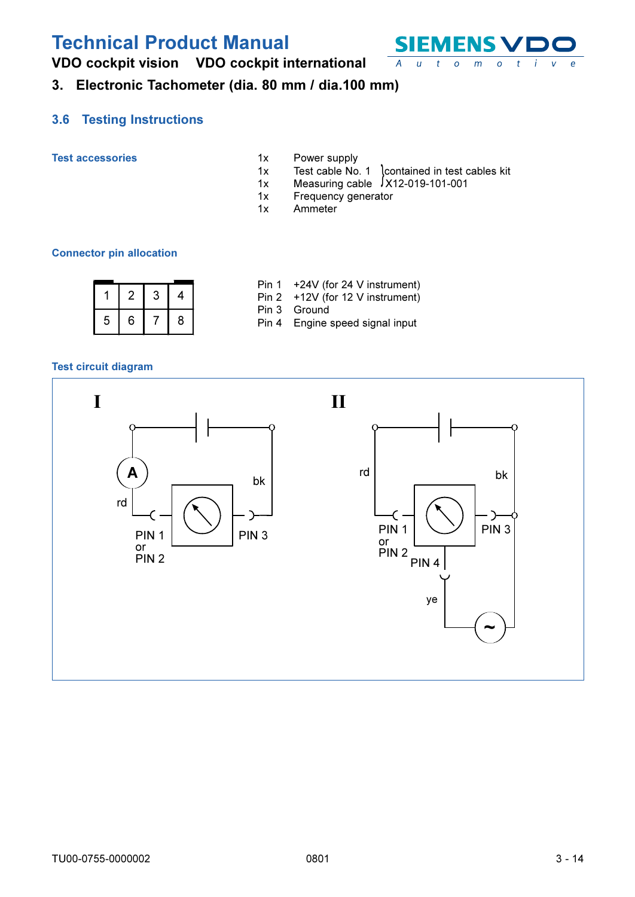

<span id="page-13-0"></span>VDO cockpit vision VDO cockpit international

## 3. Electronic Tachometer (dia. 80 mm / dia.100 mm)

#### **Testing Instructions**  $3.6$

**Test accessories** 

- Power supply  $1x$
- Test cable No. 1 contained in test cables kit<br>Measuring cable 1x12-019-101-001  $1x$
- $1x$
- $1x$ Frequency generator
- Ammeter  $1x$

#### **Connector pin allocation**

|  |         |  | Pin $1 + 24V$ (for 24 V instrument)<br>Pin $2 + 12V$ (for 12 V instrument) |
|--|---------|--|----------------------------------------------------------------------------|
|  | 5 6 7 8 |  | Pin 3 Ground<br>Pin 4 Engine speed signal input                            |

### **Test circuit diagram**

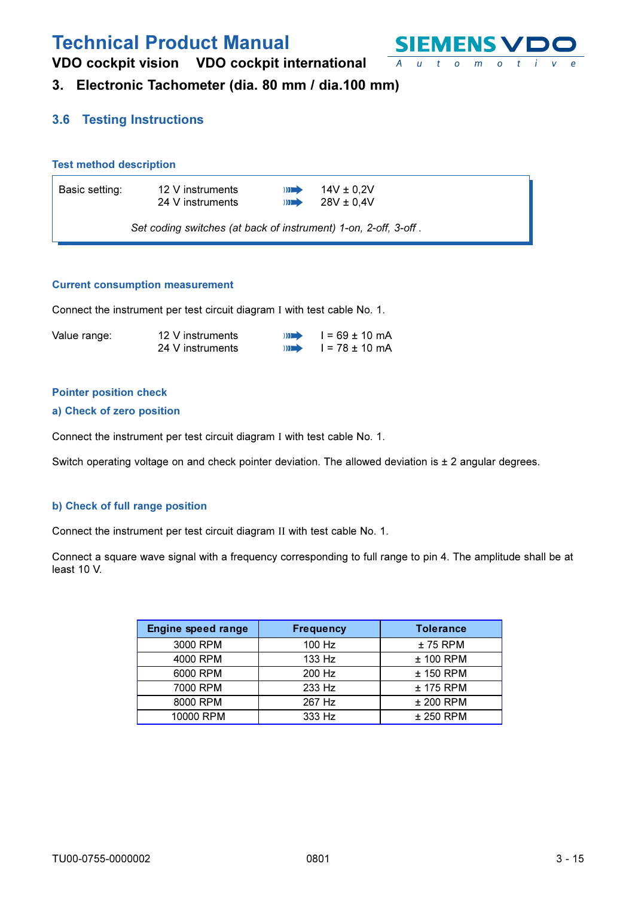

VDO cockpit vision VDO cockpit international

## 3. Electronic Tachometer (dia. 80 mm / dia.100 mm)

### **3.6 Testing Instructions**

#### **Test method description**

| Basic setting: | 12 V instruments                                                | $\mathbf{m}$ | 14V $\pm$ 0.2V |
|----------------|-----------------------------------------------------------------|--------------|----------------|
|                | 24 V instruments                                                | $\mathbf{m}$ | $28V \pm 0.4V$ |
|                | Set coding switches (at back of instrument) 1-on, 2-off, 3-off. |              |                |

#### **Current consumption measurement**

Connect the instrument per test circuit diagram I with test cable No. 1.

| Value range: | 12 V instruments | $\lambda$    | $I = 69 \pm 10$ mA |
|--------------|------------------|--------------|--------------------|
|              | 24 V instruments | $\mathbf{m}$ | l = 78 ± 10 mA     |

#### **Pointer position check**

#### a) Check of zero position

Connect the instrument per test circuit diagram I with test cable No. 1.

Switch operating voltage on and check pointer deviation. The allowed deviation is ± 2 angular degrees.

#### b) Check of full range position

Connect the instrument per test circuit diagram II with test cable No. 1.

Connect a square wave signal with a frequency corresponding to full range to pin 4. The amplitude shall be at least 10 V.

| <b>Engine speed range</b> | <b>Frequency</b> | <b>Tolerance</b> |
|---------------------------|------------------|------------------|
| 3000 RPM                  | $100$ Hz         | $± 75$ RPM       |
| 4000 RPM                  | 133 Hz           | $±$ 100 RPM      |
| 6000 RPM                  | 200 Hz           | $±$ 150 RPM      |
| 7000 RPM                  | 233 Hz           | $±$ 175 RPM      |
| 8000 RPM                  | 267 Hz           | $±$ 200 RPM      |
| 10000 RPM                 | 333 Hz           | $±$ 250 RPM      |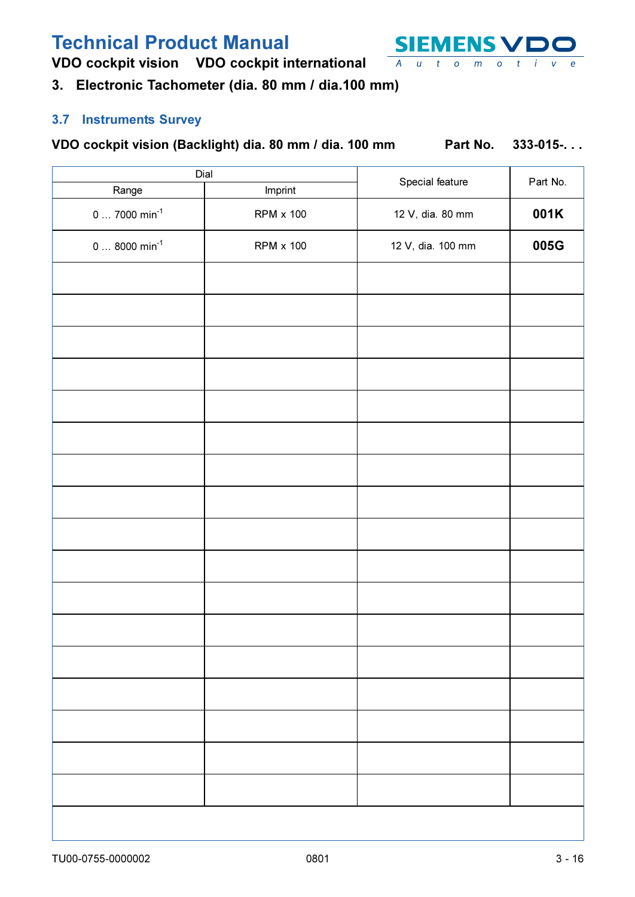<span id="page-15-0"></span>VDO cockpit vision VDO cockpit international

## 3. Electronic Tachometer (dia. 80 mm / dia.100 mm)

### 3.7 Instruments Survey

### VDO cockpit vision (Backlight) dia. 80 mm / dia. 100 mm

Part No.  $333 - 015 -$ ...

| Dial                      |                  |                   |          |
|---------------------------|------------------|-------------------|----------|
| Range                     | Imprint          | Special feature   | Part No. |
| $07000$ min <sup>-1</sup> | <b>RPM x 100</b> | 12 V, dia. 80 mm  | 001K     |
| $08000 min^{-1}$          | <b>RPM x 100</b> | 12 V, dia. 100 mm | 005G     |
|                           |                  |                   |          |
|                           |                  |                   |          |
|                           |                  |                   |          |
|                           |                  |                   |          |
|                           |                  |                   |          |
|                           |                  |                   |          |
|                           |                  |                   |          |
|                           |                  |                   |          |
|                           |                  |                   |          |
|                           |                  |                   |          |
|                           |                  |                   |          |
|                           |                  |                   |          |
|                           |                  |                   |          |
|                           |                  |                   |          |
|                           |                  |                   |          |
|                           |                  |                   |          |
|                           |                  |                   |          |
|                           |                  |                   |          |